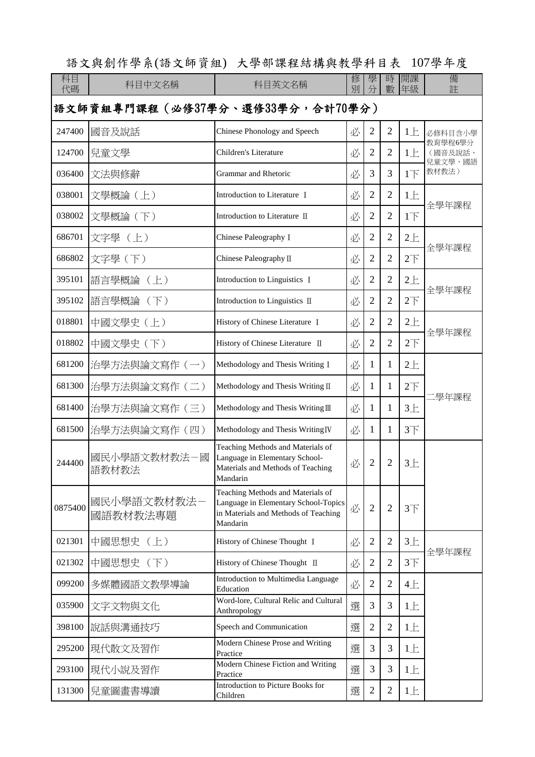語文與創作學系(語文師資組) 大學部課程結構與教學科目表 107學年度

| 科目<br>代碼                        | 科目中文名稱                  | 科目英文名稱                                                                                                                        | 修<br>別 | 學              | 時<br>數         | 開課<br>年級        | 備<br>註             |  |  |
|---------------------------------|-------------------------|-------------------------------------------------------------------------------------------------------------------------------|--------|----------------|----------------|-----------------|--------------------|--|--|
| 語文師資組專門課程(必修37學分、選修33學分,合計70學分) |                         |                                                                                                                               |        |                |                |                 |                    |  |  |
| 247400                          | 國音及說話                   | Chinese Phonology and Speech                                                                                                  | 必      | $\overline{2}$ | $\overline{2}$ | $1 \pm$         | 必修科目含小學            |  |  |
| 124700                          | 兒童文學                    | Children's Literature                                                                                                         | 必      | $\overline{2}$ | $\overline{2}$ | 1E              | 教育學程6學分<br>(國音及說話、 |  |  |
| 036400                          | 文法與修辭                   | Grammar and Rhetoric                                                                                                          | 必      | 3              | 3              | $1+$            | 兒童文學、國語<br>教材教法)   |  |  |
| 038001                          | 文學概論(上)                 | Introduction to Literature I                                                                                                  | 必      | $\overline{2}$ | $\overline{2}$ | 1E              |                    |  |  |
| 038002                          | 文學概論(下)                 | Introduction to Literature II                                                                                                 | 必      | $\overline{2}$ | 2              | $1\overline{1}$ | 全學年課程              |  |  |
| 686701                          | 文字學(上)                  | Chinese Paleography I                                                                                                         | 必      | $\overline{2}$ | $\overline{2}$ | $2+$            | 全學年課程              |  |  |
| 686802                          | 文字學 (下)                 | Chinese Paleography II                                                                                                        | 必      | $\overline{2}$ | $\overline{2}$ | $2\top$         |                    |  |  |
| 395101                          | 語言學概論<br>$(\pm)$        | Introduction to Linguistics I                                                                                                 | 必      | $\overline{2}$ | $\overline{2}$ | $2+$            | 全學年課程              |  |  |
| 395102                          | 語言學概論 (下)               | Introduction to Linguistics II                                                                                                | 必      | $\overline{2}$ | $\overline{2}$ | $2\top$         |                    |  |  |
| 018801                          | 中國文學史(上)                | History of Chinese Literature I                                                                                               | 必      | $\overline{2}$ | $\overline{2}$ | $2+$            | 全學年課程              |  |  |
| 018802                          | 中國文學史 (下)               | History of Chinese Literature II                                                                                              | 必      | $\overline{2}$ | 2              | $2\top$         |                    |  |  |
| 681200                          | 治學方法與論文寫作 (一)           | Methodology and Thesis Writing I                                                                                              | 必      | 1              | 1              | $2+$            |                    |  |  |
| 681300                          | 治學方法與論文寫作 (二)           | Methodology and Thesis Writing II                                                                                             | 必      | 1              | 1              | $2\top$         | :學年課程              |  |  |
| 681400                          | 治學方法與論文寫作 (三)           | Methodology and Thesis Writing III                                                                                            | 必      | 1              | 1              | $3+$            |                    |  |  |
| 681500                          | 治學方法與論文寫作 (四)           | Methodology and Thesis Writing <sub>IV</sub>                                                                                  | 必      | 1              | 1              | 3 <sup>T</sup>  |                    |  |  |
| 244400                          | 國民小學語文教材教法一國<br>語教材教法   | Teaching Methods and Materials of<br>Language in Elementary School-<br>Materials and Methods of Teaching<br>Mandarin          | 必      | $\overline{2}$ | $\overline{2}$ | $3+$            |                    |  |  |
| 0875400                         | 國民小學語文教材教法-<br>國語教材教法專題 | Teaching Methods and Materials of<br>Language in Elementary School-Topics<br>in Materials and Methods of Teaching<br>Mandarin | 必      | $\overline{2}$ | $\overline{2}$ | 3 <sup>T</sup>  |                    |  |  |
| 021301                          | 中國思想史 (上)               | History of Chinese Thought I                                                                                                  | 必      | $\overline{2}$ | $\overline{2}$ | $3+$            | 全學年課程              |  |  |
| 021302                          | 中國思想史 (下)               | History of Chinese Thought II                                                                                                 | 必      | $\overline{2}$ | $\overline{2}$ | 3 <sup>T</sup>  |                    |  |  |
| 099200                          | 多媒體國語文教學導論              | Introduction to Multimedia Language<br>Education                                                                              | 必      | $\overline{2}$ | $\overline{2}$ | 4E              |                    |  |  |
| 035900                          | 文字文物與文化                 | Word-lore, Cultural Relic and Cultural<br>Anthropology                                                                        | 選      | 3              | 3              | 1E              |                    |  |  |
| 398100                          | 說話與溝通技巧                 | Speech and Communication                                                                                                      | 選      | $\overline{2}$ | $\overline{2}$ | $1 \pm$         |                    |  |  |
| 295200                          | 現代散文及習作                 | Modern Chinese Prose and Writing<br>Practice                                                                                  | 選      | 3              | 3              | 1E              |                    |  |  |
| 293100                          | 現代小說及習作                 | Modern Chinese Fiction and Writing<br>Practice                                                                                | 選      | 3              | 3              | $1 \pm$         |                    |  |  |
| 131300                          | 兒童圖畫書導讀                 | Introduction to Picture Books for<br>Children                                                                                 | 選      | $\overline{2}$ | $\overline{2}$ | $1 \pm$         |                    |  |  |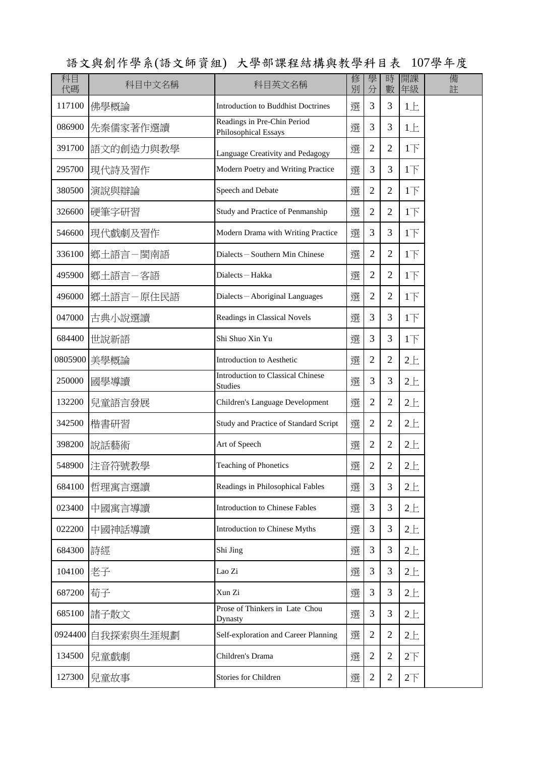|          |               |                                                            |        |                |                |                 | ▏▁     |
|----------|---------------|------------------------------------------------------------|--------|----------------|----------------|-----------------|--------|
| 科目<br>代碼 | 科目中文名稱        | 科目英文名稱                                                     | 修<br>別 | 學<br>分         | 時<br>數         | 開課<br>年級        | 備<br>註 |
| 117100   | 佛學概論          | <b>Introduction to Buddhist Doctrines</b>                  | 選      | 3              | $\overline{3}$ | $1 \pm$         |        |
| 086900   | 先秦儒家著作選讀      | Readings in Pre-Chin Period<br><b>Philosophical Essays</b> | 選      | 3              | 3              | $1 \pm$         |        |
| 391700   | 語文的創造力與教學     | Language Creativity and Pedagogy                           | 選      | $\overline{2}$ | $\overline{2}$ | $1\overline{F}$ |        |
| 295700   | 現代詩及習作        | Modern Poetry and Writing Practice                         | 選      | 3              | 3              | $1\overline{1}$ |        |
| 380500   | 演說與辯論         | Speech and Debate                                          | 選      | $\overline{2}$ | $\overline{2}$ | $1\overline{1}$ |        |
| 326600   | 硬筆字研習         | Study and Practice of Penmanship                           | 選      | $\overline{2}$ | $\overline{2}$ | 1 <sub>l</sub>  |        |
| 546600   | 現代戲劇及習作       | Modern Drama with Writing Practice                         | 選      | 3              | 3              | 1 <sub>T</sub>  |        |
| 336100   | 鄉土語言一閩南語      | Dialects-Southern Min Chinese                              | 選      | $\overline{2}$ | $\overline{2}$ | 1 <sub>l</sub>  |        |
| 495900   | 鄉土語言一客語       | Dialects-Hakka                                             | 選      | $\overline{2}$ | $\overline{2}$ | 1 <sub>T</sub>  |        |
| 496000   | 鄉土語言一原住民語     | Dialects-Aboriginal Languages                              | 撰      | $\overline{2}$ | $\overline{2}$ | $1\overline{F}$ |        |
| 047000   | 古典小說選讀        | Readings in Classical Novels                               | 選      | 3              | 3              | $1\overline{F}$ |        |
| 684400   | 世說新語          | Shi Shuo Xin Yu                                            | 選      | 3              | 3              | $1\overline{1}$ |        |
|          | 0805900 美學概論  | Introduction to Aesthetic                                  | 選      | $\overline{2}$ | $\overline{2}$ | $2+$            |        |
| 250000   | 國學導讀          | <b>Introduction to Classical Chinese</b><br><b>Studies</b> | 選      | 3              | 3              | $2+$            |        |
| 132200   | 兒童語言發展        | Children's Language Development                            | 選      | $\overline{2}$ | $\overline{2}$ | 2E              |        |
| 342500   | 楷書研習          | Study and Practice of Standard Script                      | 選      | $\overline{2}$ | $\overline{2}$ | $2+$            |        |
| 398200   | 說話藝術          | Art of Speech                                              | 選      | $\overline{2}$ | $\overline{2}$ | $2+$            |        |
|          | 548900 注音符號教學 | <b>Teaching of Phonetics</b>                               | 撰      | $\sqrt{2}$     | $\overline{2}$ | 2E              |        |
| 684100   | 哲理寓言選讀        | Readings in Philosophical Fables                           | 選      | 3              | 3              | $2+$            |        |
| 023400   | 中國寓言導讀        | <b>Introduction to Chinese Fables</b>                      | 選      | 3              | 3              | $2+$            |        |
| 022200   | 中國神話導讀        | <b>Introduction to Chinese Myths</b>                       | 選      | 3              | 3              | $2+$            |        |
| 684300   | 詩經            | Shi Jing                                                   | 選      | 3              | 3              | $2+$            |        |
| 104100   | 老子            | Lao Zi                                                     | 選      | 3              | 3              | $2+$            |        |
| 687200   | 荀子            | Xun Zi                                                     | 選      | 3              | 3              | $2+$            |        |
| 685100   | 諸子散文          | Prose of Thinkers in Late Chou<br>Dynasty                  | 選      | 3              | 3              | $2+$            |        |
| 0924400  | 自我探索與生涯規劃     | Self-exploration and Career Planning                       | 選      | $\overline{2}$ | $\overline{2}$ | $2+$            |        |
| 134500   | 兒童戲劇          | Children's Drama                                           | 選      | $\overline{2}$ | $\overline{2}$ | 2 <sup>T</sup>  |        |
| 127300   | 兒童故事          | Stories for Children                                       | 選      | $\mathfrak{2}$ | $\mathbf{2}$   | 2 <sup>T</sup>  |        |

語文與創作學系(語文師資組) 大學部課程結構與教學科目表 107學年度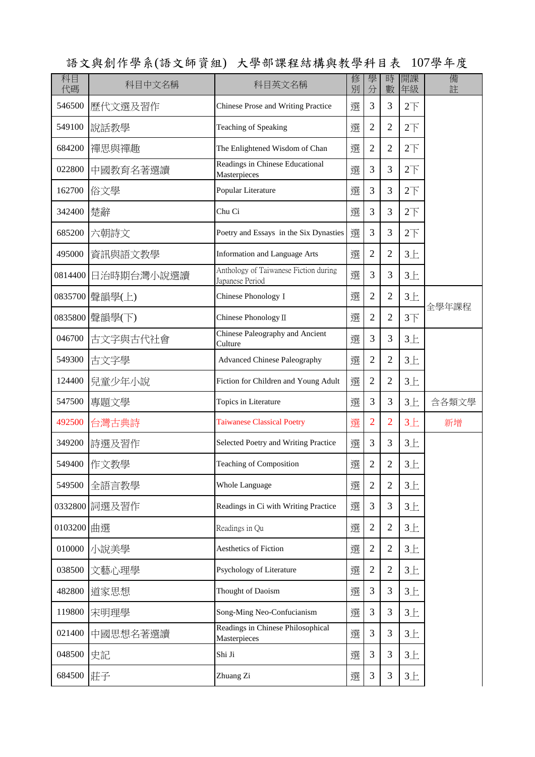| 科目<br>代碼 | 科目中文名稱     | 科目英文名稱                                                   | 修<br>別 | 學<br>分         | 時<br>數         | 開課<br>年級        | 備<br>註 |
|----------|------------|----------------------------------------------------------|--------|----------------|----------------|-----------------|--------|
| 546500   | 歷代文選及習作    | Chinese Prose and Writing Practice                       | 選      | 3              | 3              | $2\overline{1}$ |        |
| 549100   | 說話教學       | Teaching of Speaking                                     | 選      | $\overline{2}$ | $\overline{2}$ | $2\overline{1}$ |        |
| 684200   | 禪思與禪趣      | The Enlightened Wisdom of Chan                           | 選      | $\overline{2}$ | $\overline{2}$ | $2\overline{1}$ |        |
| 022800   | 中國教育名著選讀   | Readings in Chinese Educational<br>Masterpieces          | 選      | 3              | 3              | $2\overline{1}$ |        |
| 162700   | 俗文學        | Popular Literature                                       | 選      | 3              | 3              | $2\overline{1}$ |        |
| 342400   | 楚辭         | Chu Ci                                                   | 選      | 3              | 3              | $2\overline{1}$ |        |
| 685200   | 六朝詩文       | Poetry and Essays in the Six Dynasties                   | 選      | 3              | 3              | $2\overline{5}$ |        |
| 495000   | 資訊與語文教學    | <b>Information and Language Arts</b>                     | 選      | $\overline{2}$ | $\overline{2}$ | $3+$            |        |
| 0814400  | 日治時期台灣小說選讀 | Anthology of Taiwanese Fiction during<br>Japanese Period | 選      | 3              | 3              | $3+$            |        |
| 0835700  | 聲韻學(上)     | Chinese Phonology I                                      | 選      | $\overline{2}$ | $\overline{2}$ | $3+$            |        |
| 0835800  | 聲韻學(下)     | Chinese Phonology II                                     | 選      | $\overline{2}$ | $\overline{2}$ | $3+$            | 全學年課程  |
| 046700   | 古文字與古代社會   | Chinese Paleography and Ancient<br>Culture               | 選      | 3              | 3              | $3+$            |        |
| 549300   | 古文字學       | <b>Advanced Chinese Paleography</b>                      | 選      | $\overline{2}$ | $\overline{2}$ | $3+$            |        |
| 124400   | 兒童少年小說     | Fiction for Children and Young Adult                     | 選      | $\overline{2}$ | $\overline{2}$ | $3+$            |        |
| 547500   | 專題文學       | Topics in Literature                                     | 選      | 3              | 3              | $3+$            | 含各類文學  |
| 492500   | 台灣古典詩      | <b>Taiwanese Classical Poetry</b>                        | 選      | $\overline{2}$ | $\overline{2}$ | $3+$            | 新增     |
| 349200   | 詩選及習作      | Selected Poetry and Writing Practice                     | 選      | 3              | 3              | $3+$            |        |
| 549400   | 作文教學       | Teaching of Composition                                  | 選      | $\mathfrak{2}$ | $\mathfrak{2}$ | $3+$            |        |
| 549500   | 全語言教學      | <b>Whole Language</b>                                    | 選      | $\overline{2}$ | $\overline{2}$ | $3+$            |        |
| 0332800  | 詞選及習作      | Readings in Ci with Writing Practice                     | 選      | 3              | 3              | $3+$            |        |
| 0103200  | 曲選         | Readings in Qu                                           | 選      | $\mathbf{2}$   | $\overline{2}$ | $3+$            |        |
| 010000   | 小說美學       | Aesthetics of Fiction                                    | 選      | $\overline{2}$ | $\overline{2}$ | $3+$            |        |
| 038500   | 文藝心理學      | Psychology of Literature                                 | 選      | $\mathbf{2}$   | $\overline{2}$ | $3+$            |        |
| 482800   | 道家思想       | Thought of Daoism                                        | 選      | 3              | 3              | $3+$            |        |
| 119800   | 宋明理學       | Song-Ming Neo-Confucianism                               | 選      | 3              | 3              | $3+$            |        |
| 021400   | 中國思想名著選讀   | Readings in Chinese Philosophical<br>Masterpieces        | 選      | 3              | 3              | $3+$            |        |
| 048500   | 史記         | Shi Ji                                                   | 選      | 3              | 3              | $3+$            |        |
| 684500   | 莊子         | Zhuang Zi                                                | 選      | 3              | $\mathfrak{Z}$ | $3+$            |        |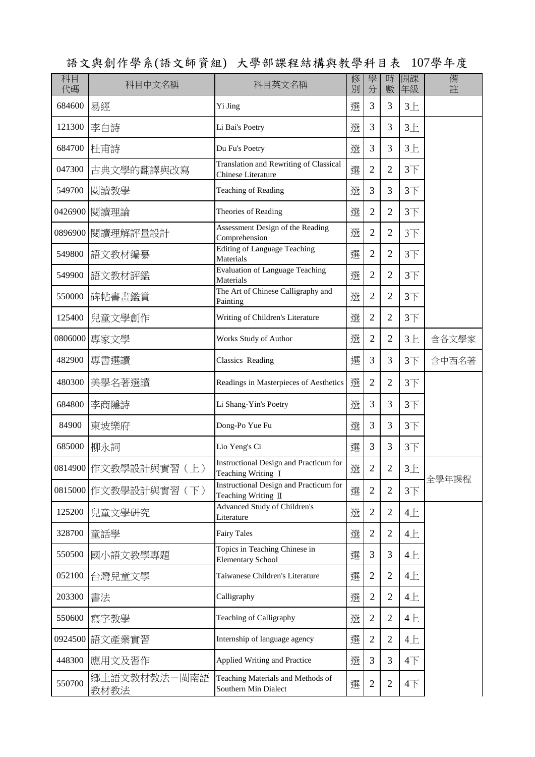科目 | 修 | 學 | 時 |開課 | 備 代碼 | 『 『 『 『 『 『 『 『 『 『 『 『 』 』 『 『 』 『 『 』 『 』 『 』 『 』 『 』 『 』 『 』 』 | 分 | 數 | 年級 | ・ 註 科目中文名稱 | 科目英文名稱 684600 易經 Yi Jing 選 3 3 3上 121300 李白詩 Li Bai's Poetry 選 3 3 3上 684700 杜甫詩 Du Fu's Poetry | 選 3 3 3 1 047300 古典文學的翻譯與改寫 Translation and Rewriting of Classical Transiation and Rewriting of Classical  $\mathbb{R}$  2 2 3  $\overline{\text{F}}$ 549700 閱讀教學 Teaching of Reading  $\mathbb{R}$  | 選 3 3 3 3 3 3 3 3 5 3 5 3 5 3 5 4 5  $\mathbb{R}$ 0426900 |閱讀理論  $\Box$  Theories of Reading  $\Box$  | 撰 | 2 | 2 | 3下 0896900 閱讀理解評量設計 Assessment Design of the Reading Assessment Design of the Reading<br>Comprehension 2 2 3下 <sup>549800</sup> 語文教材編纂 Editing of Language Teaching Materials 選 2 2 3下 549900 |語文教材評鑑  $\begin{array}{c|c} \text{Evaluation of Language Teaching} \end{array}$  | 選 2 2 3下 550000 屈帖書畫鑑賞 The Art of Chinese Calligraphy and  $\frac{1}{12}$  2 2 3下 125400 |兒童文學創作 Writing of Children's Literature | 選 | 2 | 2 | 3下 0806000 專家文學 Works Study of Author <br>
Natural Works Study of Author 4 提 2 2 3 上 含各文學家 182900 專書選讀 Classics Reading 合中西名著 480300 美學名著選讀 Readings in Masterpieces of Aesthetics 選 2 2 3下 684800 李商隱詩 Li Shang-Yin's Poetry 選 3 3 3下 84900 東坡樂府 Dong-Po Yue Fu 選 3 3 3下 685000 柳永詞 Lio Yeng's Ci 選 3 3 3下 0814900 作文教學設計與實習(上) Instructional Design and Practicum for Teaching Writing 1 and Practicum for 選  $2$  | 2 | 3  $\pm$ 0815000 作文教學設計與實習 (下) Instructional Design and Practicum for Teaching Writing II  $\mathbb{E}\left[2 \mid 2 \mid 3\right]$ 125200 兒童文學研究 Advanced Study of Children's 课 2 2 4上 328700 童話學 Fairy Tales 選 2 2 4上 <sup>550500</sup> 國小語文教學專題 Topics in Teaching Chinese in Topics in Teaching Chinese in <br>Elementary School  $\mathbb{E} \left[ 3 \right] 3 4 \pm 3$ 052100 台灣兒童文學 Taiwanese Children's Literature 课 | 2 | 2 | 4上 203300 書法 Calligraphy 選 2 2 4上 550600 寫字教學 Teaching of Calligraphy 撰 2 2 4 L 0924500 |語文產業實習  $\boxed{\text{Internship of language agency}}$  | 選 2 | 2 | 4  $\boxed{\pm}$ 448300 應用文及習作 Applied Writing and Practice |選 | 3 | 3 | 4下 550700 鄉土語文教材教法-閩南語 教材教法 Teaching Materials and Methods of Teaching Materials and Methods of  $\mathbb{R}$  2 2 4  $\overline{\text{F}}$ 全學年課程

語文與創作學系(語文師資組) 大學部課程結構與教學科目表 107學年度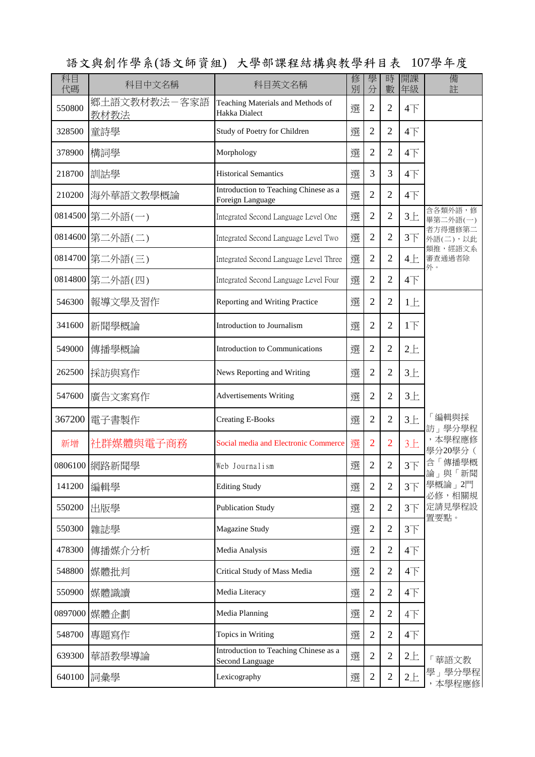| 科目<br>代碼 | 科目中文名稱               | 科目英文名稱                                                          | 修<br>別 | 學<br>分         | 時<br>數         | 開課<br>年級        | 備<br>註                         |
|----------|----------------------|-----------------------------------------------------------------|--------|----------------|----------------|-----------------|--------------------------------|
| 550800   | 鄉土語文教材教法-客家語<br>教材教法 | Teaching Materials and Methods of<br>Hakka Dialect              | 選      | $\overline{2}$ | $\overline{2}$ | 4 <sub>T</sub>  |                                |
| 328500   | 童詩學                  | Study of Poetry for Children                                    | 選      | $\overline{2}$ | $\overline{2}$ | $4\overline{ }$ |                                |
| 378900   | 構詞學                  | Morphology                                                      | 選      | $\overline{2}$ | $\overline{2}$ | $4+$            |                                |
| 218700   | 訓詁學                  | <b>Historical Semantics</b>                                     | 選      | 3              | 3              | $4+$            |                                |
| 210200   | 海外華語文教學概論            | Introduction to Teaching Chinese as a<br>Foreign Language       | 選      | $\overline{2}$ | $\overline{2}$ | $4+$            |                                |
|          | 0814500 第二外語(一)      | Integrated Second Language Level One                            | 選      | $\overline{2}$ | $\overline{2}$ | $3+$            | 含各類外語,修<br>畢第二外語(一)            |
|          | 0814600 第二外語(二)      | Integrated Second Language Level Two                            | 選      | $\overline{2}$ | $\overline{2}$ | 3 <sup>7</sup>  | 者方得選修第二<br>外語(二),以此<br>類推,經語文系 |
|          | 0814700 第二外語(三)      | Integrated Second Language Level Three                          | 選      | $\overline{2}$ | $\overline{2}$ | 4E              | 審查通過者除<br>外。                   |
|          | 0814800 第二外語(四)      | Integrated Second Language Level Four                           | 選      | $\overline{2}$ | $\overline{2}$ | $4+$            |                                |
| 546300   | 報導文學及習作              | Reporting and Writing Practice                                  | 選      | $\overline{2}$ | $\overline{2}$ | 1E              |                                |
| 341600   | 新聞學概論                | Introduction to Journalism                                      | 選      | $\overline{2}$ | $\overline{2}$ | 1 <sub>l</sub>  |                                |
| 549000   | 傳播學概論                | Introduction to Communications                                  | 選      | $\overline{2}$ | $\overline{2}$ | $2+$            | 編輯與採<br>訪」學分學程                 |
| 262500   | 採訪與寫作                | News Reporting and Writing                                      | 選      | $\overline{2}$ | $\overline{2}$ | $3+$            |                                |
| 547600   | 廣告文案寫作               | <b>Advertisements Writing</b>                                   | 選      | $\overline{2}$ | $\overline{2}$ | $3+$            |                                |
| 367200   | 電子書製作                | <b>Creating E-Books</b>                                         | 選      | $\overline{2}$ | $\overline{2}$ | $3+$            |                                |
| 新增       | 社群媒體與電子商務            | Social media and Electronic Commerce                            | 選      | $\overline{2}$ | $\overline{2}$ | $3+$            | ,本學程應修<br>學分20學分(              |
|          | 0806100 網路新聞學        | Web Journalism                                                  | 選      | $\overline{2}$ | $\overline{2}$ | 3 <sup>7</sup>  | 含「傳播學概<br>論」與「新聞               |
| 141200   | 編輯學                  | <b>Editing Study</b>                                            | 選      | $\overline{2}$ | $\overline{2}$ | $3+$            | 學概論」2門<br>必修,相關規               |
| 550200   | 出版學                  | <b>Publication Study</b>                                        | 選      | $\overline{2}$ | $\overline{2}$ | 3 <sup>7</sup>  | 定請見學程設<br>置要點。                 |
| 550300   | 雜誌學                  | Magazine Study                                                  | 選      | $\overline{2}$ | $\overline{2}$ | 3 <sup>T</sup>  |                                |
| 478300   | 傳播媒介分析               | Media Analysis                                                  | 選      | $\overline{2}$ | $\overline{2}$ | 4 <sub>T</sub>  |                                |
| 548800   | 媒體批判                 | Critical Study of Mass Media                                    | 選      | $\overline{2}$ | $\overline{2}$ | $4+$            |                                |
| 550900   | 媒體識讀                 | Media Literacy                                                  | 選      | $\overline{2}$ | $\overline{2}$ | $4+$            |                                |
| 0897000  | 媒體企劃                 | Media Planning                                                  | 選      | $\overline{2}$ | $\overline{2}$ | $4+$            |                                |
| 548700   | 專題寫作                 | Topics in Writing                                               | 選      | $\overline{2}$ | $\overline{2}$ | $4\overline{ }$ |                                |
| 639300   | 華語教學導論               | Introduction to Teaching Chinese as a<br><b>Second Language</b> | 選      | $\overline{2}$ | $\mathbf{2}$   | $2+$            | 華語文教                           |
| 640100   | 詞彙學                  | Lexicography                                                    | 選      | $\overline{c}$ | $\overline{c}$ | 2E              | 學」學分學程<br>本學程應修                |

語文與創作學系(語文師資組) 大學部課程結構與教學科目表 107學年度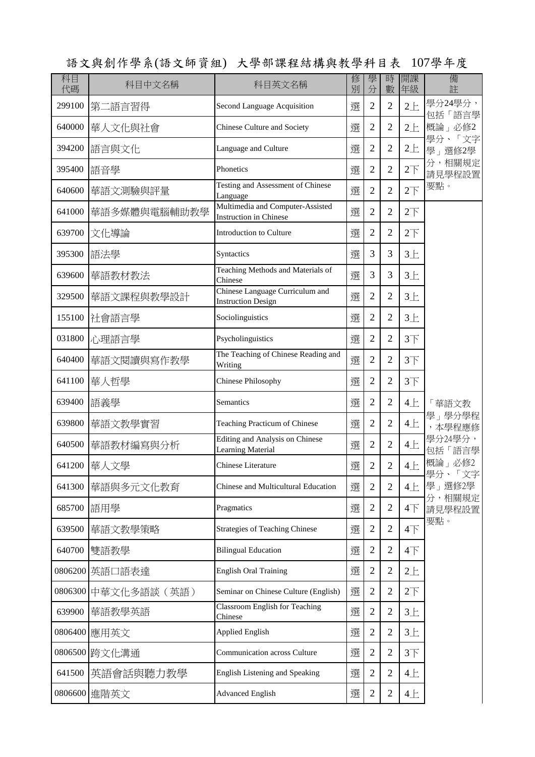| 科目<br>代碼 | 科目中文名稱         | 科目英文名稱                                                            | 修<br>別 | 學<br>分         | 時<br>數         | 開課<br>年級               | 備<br>註               |
|----------|----------------|-------------------------------------------------------------------|--------|----------------|----------------|------------------------|----------------------|
| 299100   | 第二語言習得         | Second Language Acquisition                                       | 選      | $\overline{2}$ | $\overline{2}$ | $2+$                   | 學分24學分,<br>包括「語言學    |
| 640000   | 華人文化與社會        | Chinese Culture and Society                                       | 選      | $\overline{2}$ | $\overline{2}$ | $2+$                   | 概論」必修2               |
| 394200   | 語言與文化          | Language and Culture                                              | 選      | $\overline{2}$ | $\overline{2}$ | $2 +$                  | 學分、<br>「文字<br>學」選修2學 |
| 395400   | 語音學            | Phonetics                                                         | 選      | $\overline{2}$ | $\overline{2}$ | $2\overrightarrow{ }$  | 分,相關規定<br>請見學程設置     |
| 640600   | 華語文測驗與評量       | Testing and Assessment of Chinese<br>Language                     | 選      | $\overline{2}$ | $\overline{2}$ | $2+$                   | 要點。                  |
| 641000   | 華語多媒體與電腦輔助教學   | Multimedia and Computer-Assisted<br><b>Instruction</b> in Chinese | 選      | $\overline{2}$ | $\overline{2}$ | $2\overline{1}$        |                      |
| 639700   | 文化導論           | Introduction to Culture                                           | 選      | $\overline{2}$ | $\overline{2}$ | $2\overline{1}$        |                      |
| 395300   | 語法學            | Syntactics                                                        | 選      | 3              | 3              | $3+$                   |                      |
| 639600   | 華語教材教法         | Teaching Methods and Materials of<br>Chinese                      | 撰      | 3              | 3              | $3+$                   |                      |
| 329500   | 華語文課程與教學設計     | Chinese Language Curriculum and<br><b>Instruction Design</b>      | 選      | $\overline{2}$ | $\overline{2}$ | $3+$                   |                      |
| 155100   | 社會語言學          | Sociolinguistics                                                  | 選      | $\overline{2}$ | $\overline{2}$ | $3+$                   |                      |
| 031800   | 心理語言學          | Psycholinguistics                                                 | 選      | $\overline{2}$ | $\overline{2}$ | $3+$                   |                      |
| 640400   | 華語文閱讀與寫作教學     | The Teaching of Chinese Reading and<br>Writing                    | 選      | $\overline{2}$ | $\overline{2}$ | $3+$                   |                      |
| 641100   | 華人哲學           | <b>Chinese Philosophy</b>                                         | 選      | $\overline{2}$ | $\overline{2}$ | 3 <sup>7</sup>         |                      |
| 639400   | 語義學            | Semantics                                                         | 選      | $\overline{2}$ | $\overline{2}$ | 4E                     | 華語文教                 |
| 639800   | 華語文教學實習        | Teaching Practicum of Chinese                                     | 選      | $\overline{2}$ | $\overline{2}$ | 4E                     | 學」學分學程<br>,本學程應修     |
| 640500   | 華語教材編寫與分析      | Editing and Analysis on Chinese<br>Learning Material              | 撰      | $\overline{2}$ | $\overline{2}$ | 4E                     | 學分24學分,<br>包括「語言學    |
| 641200   | 華人文學           | <b>Chinese Literature</b>                                         | 選      | $\sqrt{2}$     | $\overline{2}$ | 4E                     | 概論」必修2<br>學分、「文字     |
| 641300   | 華語與多元文化教育      | Chinese and Multicultural Education                               | 撰      | $\overline{2}$ | $\overline{2}$ | 4E                     | 學」選修2學               |
| 685700   | 語用學            | Pragmatics                                                        | 選      | $\mathbf{2}$   | $\overline{2}$ | $4\overline{\uparrow}$ | 分,相關規定<br>請見學程設置     |
| 639500   | 華語文教學策略        | <b>Strategies of Teaching Chinese</b>                             | 選      | $\overline{2}$ | 2              | $4\overline{\uparrow}$ | 要點。                  |
| 640700   | 雙語教學           | <b>Bilingual Education</b>                                        | 選      | $\overline{2}$ | $\overline{2}$ | $4\overline{1}$        |                      |
|          | 0806200 英語口語表達 | <b>English Oral Training</b>                                      | 選      | $\overline{2}$ | $\overline{2}$ | $2 +$                  |                      |
| 0806300  | 中華文化多語談 (英語)   | Seminar on Chinese Culture (English)                              | 選      | $\overline{2}$ | $\overline{2}$ | $2\overline{1}$        |                      |
| 639900   | 華語教學英語         | <b>Classroom English for Teaching</b><br>Chinese                  | 選      | $\overline{2}$ | $\overline{2}$ | $3+$                   |                      |
| 0806400  | 應用英文           | <b>Applied English</b>                                            | 選      | $\overline{2}$ | $\overline{2}$ | $3+$                   |                      |
|          | 0806500 跨文化溝通  | Communication across Culture                                      | 選      | $\overline{2}$ | $\overline{2}$ | $3+$                   |                      |
| 641500   | 英語會話與聽力教學      | English Listening and Speaking                                    | 選      | $\sqrt{2}$     | $\overline{2}$ | 4E                     |                      |
|          | 0806600 進階英文   | <b>Advanced English</b>                                           | 選      | $\overline{2}$ | $\overline{2}$ | 4E                     |                      |

語文與創作學系(語文師資組) 大學部課程結構與教學科目表 107學年度